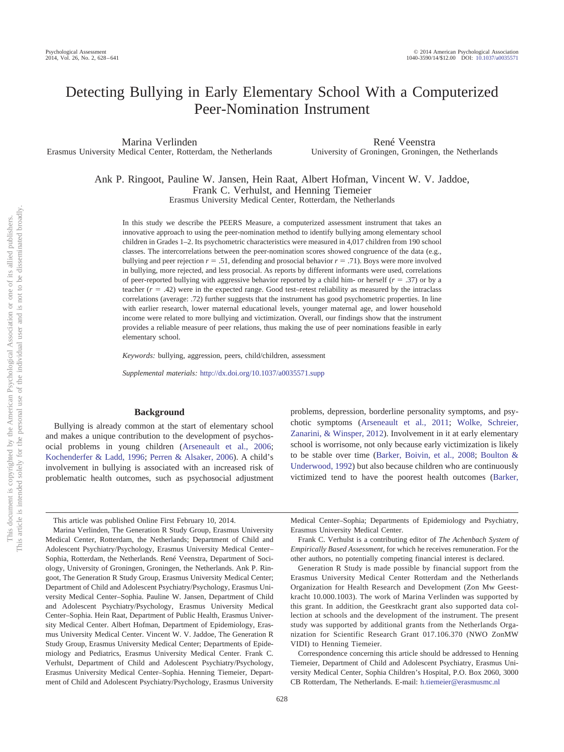# Detecting Bullying in Early Elementary School With a Computerized Peer-Nomination Instrument

Marina Verlinden Erasmus University Medical Center, Rotterdam, the Netherlands

René Veenstra University of Groningen, Groningen, the Netherlands

Ank P. Ringoot, Pauline W. Jansen, Hein Raat, Albert Hofman, Vincent W. V. Jaddoe, Frank C. Verhulst, and Henning Tiemeier Erasmus University Medical Center, Rotterdam, the Netherlands

In this study we describe the PEERS Measure, a computerized assessment instrument that takes an innovative approach to using the peer-nomination method to identify bullying among elementary school children in Grades 1–2. Its psychometric characteristics were measured in 4,017 children from 190 school classes. The intercorrelations between the peer-nomination scores showed congruence of the data (e.g., bullying and peer rejection  $r = .51$ , defending and prosocial behavior  $r = .71$ ). Boys were more involved in bullying, more rejected, and less prosocial. As reports by different informants were used, correlations of peer-reported bullying with aggressive behavior reported by a child him- or herself  $(r = .37)$  or by a teacher  $(r = .42)$  were in the expected range. Good test–retest reliability as measured by the intraclass correlations (average: .72) further suggests that the instrument has good psychometric properties. In line with earlier research, lower maternal educational levels, younger maternal age, and lower household income were related to more bullying and victimization. Overall, our findings show that the instrument provides a reliable measure of peer relations, thus making the use of peer nominations feasible in early elementary school.

*Keywords:* bullying, aggression, peers, child/children, assessment

*Supplemental materials:* http://dx.doi.org[/10.1037/a0035571.supp](http://dx.doi.org/10.1037/a0035571.supp)

# **Background**

Bullying is already common at the start of elementary school and makes a unique contribution to the development of psychosocial problems in young children [\(Arseneault et al., 2006;](#page-11-0) [Kochenderfer & Ladd, 1996;](#page-12-0) [Perren & Alsaker, 2006\)](#page-12-1). A child's involvement in bullying is associated with an increased risk of problematic health outcomes, such as psychosocial adjustment problems, depression, borderline personality symptoms, and psychotic symptoms [\(Arseneault et al., 2011;](#page-11-1) [Wolke, Schreier,](#page-13-0) [Zanarini, & Winsper, 2012\)](#page-13-0). Involvement in it at early elementary school is worrisome, not only because early victimization is likely to be stable over time [\(Barker, Boivin, et al., 2008;](#page-11-2) [Boulton &](#page-11-3) [Underwood, 1992\)](#page-11-3) but also because children who are continuously victimized tend to have the poorest health outcomes [\(Barker,](#page-11-4)

This article was published Online First February 10, 2014.

Marina Verlinden, The Generation R Study Group, Erasmus University Medical Center, Rotterdam, the Netherlands; Department of Child and Adolescent Psychiatry/Psychology, Erasmus University Medical Center– Sophia, Rotterdam, the Netherlands. René Veenstra, Department of Sociology, University of Groningen, Groningen, the Netherlands. Ank P. Ringoot, The Generation R Study Group, Erasmus University Medical Center; Department of Child and Adolescent Psychiatry/Psychology, Erasmus University Medical Center–Sophia. Pauline W. Jansen, Department of Child and Adolescent Psychiatry/Psychology, Erasmus University Medical Center–Sophia. Hein Raat, Department of Public Health, Erasmus University Medical Center. Albert Hofman, Department of Epidemiology, Erasmus University Medical Center. Vincent W. V. Jaddoe, The Generation R Study Group, Erasmus University Medical Center; Departments of Epidemiology and Pediatrics, Erasmus University Medical Center. Frank C. Verhulst, Department of Child and Adolescent Psychiatry/Psychology, Erasmus University Medical Center–Sophia. Henning Tiemeier, Department of Child and Adolescent Psychiatry/Psychology, Erasmus University

Medical Center–Sophia; Departments of Epidemiology and Psychiatry, Erasmus University Medical Center.

Frank C. Verhulst is a contributing editor of *The Achenbach System of Empirically Based Assessment*, for which he receives remuneration. For the other authors, no potentially competing financial interest is declared.

Generation R Study is made possible by financial support from the Erasmus University Medical Center Rotterdam and the Netherlands Organization for Health Research and Development (Zon Mw Geestkracht 10.000.1003). The work of Marina Verlinden was supported by this grant. In addition, the Geestkracht grant also supported data collection at schools and the development of the instrument. The present study was supported by additional grants from the Netherlands Organization for Scientific Research Grant 017.106.370 (NWO ZonMW VIDI) to Henning Tiemeier.

Correspondence concerning this article should be addressed to Henning Tiemeier, Department of Child and Adolescent Psychiatry, Erasmus University Medical Center, Sophia Children's Hospital, P.O. Box 2060, 3000 CB Rotterdam, The Netherlands. E-mail: [h.tiemeier@erasmusmc.nl](mailto:h.tiemeier@erasmusmc.nl)

628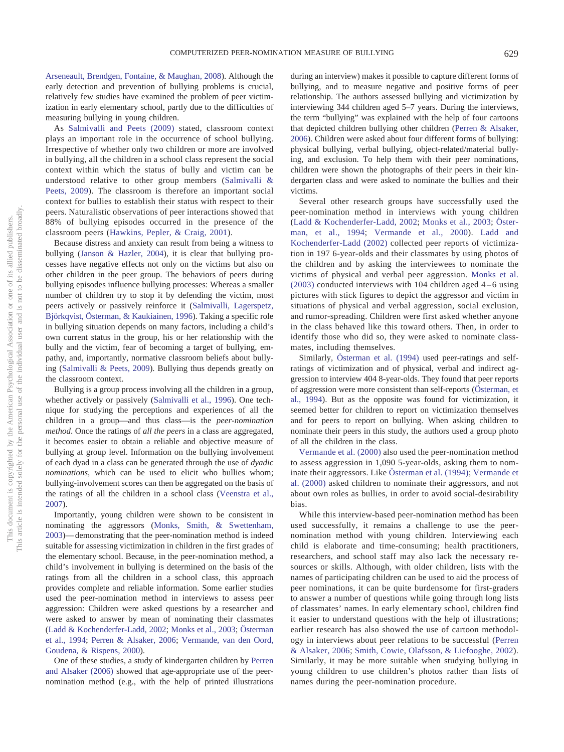[Arseneault, Brendgen, Fontaine, & Maughan, 2008\)](#page-11-4). Although the early detection and prevention of bullying problems is crucial, relatively few studies have examined the problem of peer victimization in early elementary school, partly due to the difficulties of measuring bullying in young children.

As [Salmivalli and Peets \(2009\)](#page-12-2) stated, classroom context plays an important role in the occurrence of school bullying. Irrespective of whether only two children or more are involved in bullying, all the children in a school class represent the social context within which the status of bully and victim can be understood relative to other group members [\(Salmivalli &](#page-12-2) [Peets, 2009\)](#page-12-2). The classroom is therefore an important social context for bullies to establish their status with respect to their peers. Naturalistic observations of peer interactions showed that 88% of bullying episodes occurred in the presence of the classroom peers [\(Hawkins, Pepler, & Craig, 2001\)](#page-12-3).

Because distress and anxiety can result from being a witness to bullying [\(Janson & Hazler, 2004\)](#page-12-4), it is clear that bullying processes have negative effects not only on the victims but also on other children in the peer group. The behaviors of peers during bullying episodes influence bullying processes: Whereas a smaller number of children try to stop it by defending the victim, most peers actively or passively reinforce it [\(Salmivalli, Lagerspetz,](#page-12-5) [Björkqvist, Österman, & Kaukiainen, 1996\)](#page-12-5). Taking a specific role in bullying situation depends on many factors, including a child's own current status in the group, his or her relationship with the bully and the victim, fear of becoming a target of bullying, empathy, and, importantly, normative classroom beliefs about bullying [\(Salmivalli & Peets, 2009\)](#page-12-2). Bullying thus depends greatly on the classroom context.

Bullying is a group process involving all the children in a group, whether actively or passively [\(Salmivalli et al., 1996\)](#page-12-5). One technique for studying the perceptions and experiences of all the children in a group—and thus class—is the *peer-nomination method*. Once the ratings of *all the peers* in a class are aggregated, it becomes easier to obtain a reliable and objective measure of bullying at group level. Information on the bullying involvement of each dyad in a class can be generated through the use of *dyadic nominations*, which can be used to elicit who bullies whom; bullying-involvement scores can then be aggregated on the basis of the ratings of all the children in a school class [\(Veenstra et al.,](#page-13-1) [2007\)](#page-13-1).

Importantly, young children were shown to be consistent in nominating the aggressors [\(Monks, Smith, & Swettenham,](#page-12-6) [2003\)](#page-12-6)—demonstrating that the peer-nomination method is indeed suitable for assessing victimization in children in the first grades of the elementary school. Because, in the peer-nomination method, a child's involvement in bullying is determined on the basis of the ratings from all the children in a school class, this approach provides complete and reliable information. Some earlier studies used the peer-nomination method in interviews to assess peer aggression: Children were asked questions by a researcher and were asked to answer by mean of nominating their classmates [\(Ladd & Kochenderfer-Ladd, 2002;](#page-12-7) [Monks et al., 2003;](#page-12-6) [Österman](#page-12-8) [et al., 1994;](#page-12-8) [Perren & Alsaker, 2006;](#page-12-1) [Vermande, van den Oord,](#page-13-2) [Goudena, & Rispens, 2000\)](#page-13-2).

One of these studies, a study of kindergarten children by [Perren](#page-12-1) [and Alsaker \(2006\)](#page-12-1) showed that age-appropriate use of the peernomination method (e.g., with the help of printed illustrations during an interview) makes it possible to capture different forms of bullying, and to measure negative and positive forms of peer relationship. The authors assessed bullying and victimization by interviewing 344 children aged 5–7 years. During the interviews, the term "bullying" was explained with the help of four cartoons that depicted children bullying other children [\(Perren & Alsaker,](#page-12-1) [2006\)](#page-12-1). Children were asked about four different forms of bullying: physical bullying, verbal bullying, object-related/material bullying, and exclusion. To help them with their peer nominations, children were shown the photographs of their peers in their kindergarten class and were asked to nominate the bullies and their victims.

Several other research groups have successfully used the peer-nomination method in interviews with young children [\(Ladd & Kochenderfer-Ladd, 2002;](#page-12-7) [Monks et al., 2003;](#page-12-6) [Öster](#page-12-8)[man, et al., 1994;](#page-12-8) [Vermande et al., 2000\)](#page-13-2). [Ladd and](#page-12-7) [Kochenderfer-Ladd \(2002\)](#page-12-7) collected peer reports of victimization in 197 6-year-olds and their classmates by using photos of the children and by asking the interviewees to nominate the victims of physical and verbal peer aggression. [Monks et al.](#page-12-6) [\(2003\)](#page-12-6) conducted interviews with 104 children aged 4–6 using pictures with stick figures to depict the aggressor and victim in situations of physical and verbal aggression, social exclusion, and rumor-spreading. Children were first asked whether anyone in the class behaved like this toward others. Then, in order to identify those who did so, they were asked to nominate classmates, including themselves.

Similarly, [Österman et al. \(1994\)](#page-12-8) used peer-ratings and selfratings of victimization and of physical, verbal and indirect aggression to interview 404 8-year-olds. They found that peer reports of aggression were more consistent than self-reports [\(Österman, et](#page-12-8) [al., 1994\)](#page-12-8). But as the opposite was found for victimization, it seemed better for children to report on victimization themselves and for peers to report on bullying. When asking children to nominate their peers in this study, the authors used a group photo of all the children in the class.

[Vermande et al. \(2000\)](#page-13-2) also used the peer-nomination method to assess aggression in 1,090 5-year-olds, asking them to nominate their aggressors. Like [Österman et al. \(1994\);](#page-12-8) [Vermande et](#page-13-2) [al. \(2000\)](#page-13-2) asked children to nominate their aggressors, and not about own roles as bullies, in order to avoid social-desirability bias.

While this interview-based peer-nomination method has been used successfully, it remains a challenge to use the peernomination method with young children. Interviewing each child is elaborate and time-consuming; health practitioners, researchers, and school staff may also lack the necessary resources or skills. Although, with older children, lists with the names of participating children can be used to aid the process of peer nominations, it can be quite burdensome for first-graders to answer a number of questions while going through long lists of classmates' names. In early elementary school, children find it easier to understand questions with the help of illustrations; earlier research has also showed the use of cartoon methodology in interviews about peer relations to be successful [\(Perren](#page-12-1) [& Alsaker, 2006;](#page-12-1) [Smith, Cowie, Olafsson, & Liefooghe, 2002\)](#page-13-3). Similarly, it may be more suitable when studying bullying in young children to use children's photos rather than lists of names during the peer-nomination procedure.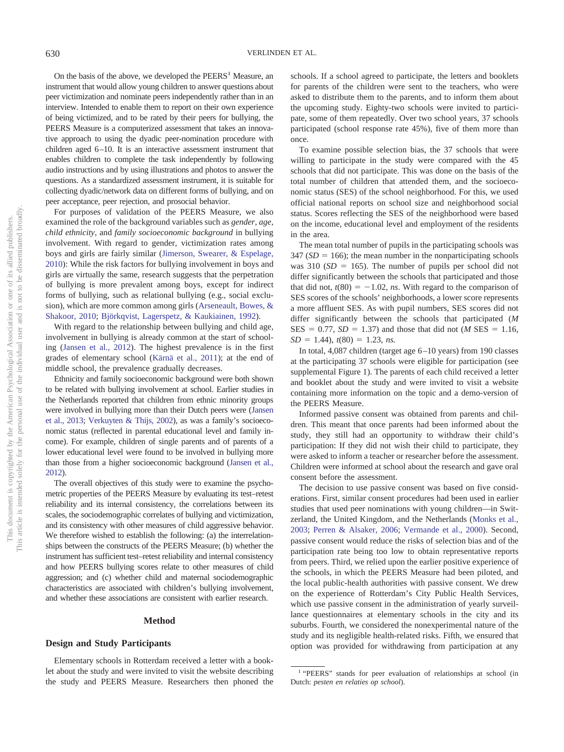On the basis of the above, we developed the  $PEERS<sup>1</sup>$  Measure, an instrument that would allow young children to answer questions about peer victimization and nominate peers independently rather than in an interview. Intended to enable them to report on their own experience of being victimized, and to be rated by their peers for bullying, the PEERS Measure is a computerized assessment that takes an innovative approach to using the dyadic peer-nomination procedure with children aged 6–10. It is an interactive assessment instrument that enables children to complete the task independently by following audio instructions and by using illustrations and photos to answer the questions. As a standardized assessment instrument, it is suitable for collecting dyadic/network data on different forms of bullying, and on peer acceptance, peer rejection, and prosocial behavior.

For purposes of validation of the PEERS Measure, we also examined the role of the background variables such as *gender*, *age*, *child ethnicity*, and *family socioeconomic background* in bullying involvement. With regard to gender, victimization rates among boys and girls are fairly similar [\(Jimerson, Swearer, & Espelage,](#page-12-9) [2010\)](#page-12-9): While the risk factors for bullying involvement in boys and girls are virtually the same, research suggests that the perpetration of bullying is more prevalent among boys, except for indirect forms of bullying, such as relational bullying (e.g., social exclusion), which are more common among girls [\(Arseneault, Bowes, &](#page-11-5) [Shakoor, 2010;](#page-11-5) [Björkqvist, Lagerspetz, & Kaukiainen, 1992\)](#page-11-6).

With regard to the relationship between bullying and child age, involvement in bullying is already common at the start of schooling [\(Jansen et al., 2012\)](#page-12-10). The highest prevalence is in the first grades of elementary school [\(Kärnä et al., 2011\)](#page-12-11); at the end of middle school, the prevalence gradually decreases.

Ethnicity and family socioeconomic background were both shown to be related with bullying involvement at school. Earlier studies in the Netherlands reported that children from ethnic minority groups were involved in bullying more than their Dutch peers were [\(Jansen](#page-12-12) [et al., 2013;](#page-12-12) [Verkuyten & Thijs, 2002\)](#page-13-4), as was a family's socioeconomic status (reflected in parental educational level and family income). For example, children of single parents and of parents of a lower educational level were found to be involved in bullying more than those from a higher socioeconomic background [\(Jansen et al.,](#page-12-10) [2012\)](#page-12-10).

The overall objectives of this study were to examine the psychometric properties of the PEERS Measure by evaluating its test–retest reliability and its internal consistency, the correlations between its scales, the sociodemographic correlates of bullying and victimization, and its consistency with other measures of child aggressive behavior. We therefore wished to establish the following: (a) the interrelationships between the constructs of the PEERS Measure; (b) whether the instrument has sufficient test–retest reliability and internal consistency and how PEERS bullying scores relate to other measures of child aggression; and (c) whether child and maternal sociodemographic characteristics are associated with children's bullying involvement, and whether these associations are consistent with earlier research.

#### **Method**

## **Design and Study Participants**

Elementary schools in Rotterdam received a letter with a booklet about the study and were invited to visit the website describing the study and PEERS Measure. Researchers then phoned the schools. If a school agreed to participate, the letters and booklets for parents of the children were sent to the teachers, who were asked to distribute them to the parents, and to inform them about the upcoming study. Eighty-two schools were invited to participate, some of them repeatedly. Over two school years, 37 schools participated (school response rate 45%), five of them more than once.

To examine possible selection bias, the 37 schools that were willing to participate in the study were compared with the 45 schools that did not participate. This was done on the basis of the total number of children that attended them, and the socioeconomic status (SES) of the school neighborhood. For this, we used official national reports on school size and neighborhood social status. Scores reflecting the SES of the neighborhood were based on the income, educational level and employment of the residents in the area.

The mean total number of pupils in the participating schools was  $347 (SD = 166)$ ; the mean number in the nonparticipating schools was  $310$  ( $SD = 165$ ). The number of pupils per school did not differ significantly between the schools that participated and those that did not,  $t(80) = -1.02$ , *ns*. With regard to the comparison of SES scores of the schools' neighborhoods, a lower score represents a more affluent SES. As with pupil numbers, SES scores did not differ significantly between the schools that participated (*M*  $SES = 0.77, SD = 1.37$  and those that did not (*M SES = 1.16*,  $SD = 1.44$ ,  $t(80) = 1.23$ , *ns.* 

In total, 4,087 children (target age 6–10 years) from 190 classes at the participating 37 schools were eligible for participation (see supplemental Figure 1). The parents of each child received a letter and booklet about the study and were invited to visit a website containing more information on the topic and a demo-version of the PEERS Measure.

Informed passive consent was obtained from parents and children. This meant that once parents had been informed about the study, they still had an opportunity to withdraw their child's participation: If they did not wish their child to participate, they were asked to inform a teacher or researcher before the assessment. Children were informed at school about the research and gave oral consent before the assessment.

The decision to use passive consent was based on five considerations. First, similar consent procedures had been used in earlier studies that used peer nominations with young children—in Switzerland, the United Kingdom, and the Netherlands [\(Monks et al.,](#page-12-6) [2003;](#page-12-6) [Perren & Alsaker, 2006;](#page-12-1) [Vermande et al., 2000\)](#page-13-2). Second, passive consent would reduce the risks of selection bias and of the participation rate being too low to obtain representative reports from peers. Third, we relied upon the earlier positive experience of the schools, in which the PEERS Measure had been piloted, and the local public-health authorities with passive consent. We drew on the experience of Rotterdam's City Public Health Services, which use passive consent in the administration of yearly surveillance questionnaires at elementary schools in the city and its suburbs. Fourth, we considered the nonexperimental nature of the study and its negligible health-related risks. Fifth, we ensured that option was provided for withdrawing from participation at any

<sup>&</sup>lt;sup>1</sup> "PEERS" stands for peer evaluation of relationships at school (in Dutch: *pesten en relaties op school*).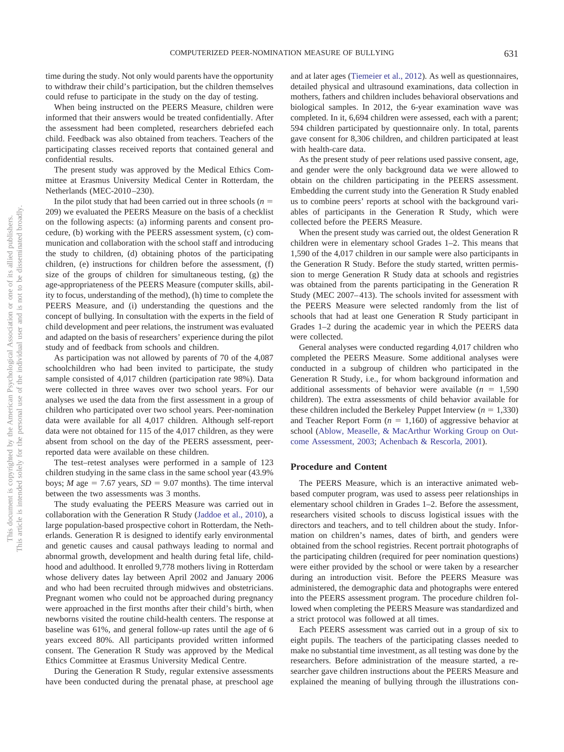time during the study. Not only would parents have the opportunity to withdraw their child's participation, but the children themselves could refuse to participate in the study on the day of testing.

When being instructed on the PEERS Measure, children were informed that their answers would be treated confidentially. After the assessment had been completed, researchers debriefed each child. Feedback was also obtained from teachers. Teachers of the participating classes received reports that contained general and confidential results.

The present study was approved by the Medical Ethics Committee at Erasmus University Medical Center in Rotterdam, the Netherlands (MEC-2010–230).

In the pilot study that had been carried out in three schools  $(n =$ 209) we evaluated the PEERS Measure on the basis of a checklist on the following aspects: (a) informing parents and consent procedure, (b) working with the PEERS assessment system, (c) communication and collaboration with the school staff and introducing the study to children, (d) obtaining photos of the participating children, (e) instructions for children before the assessment, (f) size of the groups of children for simultaneous testing, (g) the age-appropriateness of the PEERS Measure (computer skills, ability to focus, understanding of the method), (h) time to complete the PEERS Measure, and (i) understanding the questions and the concept of bullying. In consultation with the experts in the field of child development and peer relations, the instrument was evaluated and adapted on the basis of researchers' experience during the pilot study and of feedback from schools and children.

As participation was not allowed by parents of 70 of the 4,087 schoolchildren who had been invited to participate, the study sample consisted of 4,017 children (participation rate 98%). Data were collected in three waves over two school years. For our analyses we used the data from the first assessment in a group of children who participated over two school years. Peer-nomination data were available for all 4,017 children. Although self-report data were not obtained for 115 of the 4,017 children, as they were absent from school on the day of the PEERS assessment, peerreported data were available on these children.

The test–retest analyses were performed in a sample of 123 children studying in the same class in the same school year (43.9% boys; *M* age = 7.67 years,  $SD = 9.07$  months). The time interval between the two assessments was 3 months.

The study evaluating the PEERS Measure was carried out in collaboration with the Generation R Study [\(Jaddoe et al., 2010\)](#page-12-13), a large population-based prospective cohort in Rotterdam, the Netherlands. Generation R is designed to identify early environmental and genetic causes and causal pathways leading to normal and abnormal growth, development and health during fetal life, childhood and adulthood. It enrolled 9,778 mothers living in Rotterdam whose delivery dates lay between April 2002 and January 2006 and who had been recruited through midwives and obstetricians. Pregnant women who could not be approached during pregnancy were approached in the first months after their child's birth, when newborns visited the routine child-health centers. The response at baseline was 61%, and general follow-up rates until the age of 6 years exceed 80%. All participants provided written informed consent. The Generation R Study was approved by the Medical Ethics Committee at Erasmus University Medical Centre.

During the Generation R Study, regular extensive assessments have been conducted during the prenatal phase, at preschool age

and at later ages [\(Tiemeier et al., 2012\)](#page-13-5). As well as questionnaires, detailed physical and ultrasound examinations, data collection in mothers, fathers and children includes behavioral observations and biological samples. In 2012, the 6-year examination wave was completed. In it, 6,694 children were assessed, each with a parent; 594 children participated by questionnaire only. In total, parents gave consent for 8,306 children, and children participated at least with health-care data.

As the present study of peer relations used passive consent, age, and gender were the only background data we were allowed to obtain on the children participating in the PEERS assessment. Embedding the current study into the Generation R Study enabled us to combine peers' reports at school with the background variables of participants in the Generation R Study, which were collected before the PEERS Measure.

When the present study was carried out, the oldest Generation R children were in elementary school Grades 1–2. This means that 1,590 of the 4,017 children in our sample were also participants in the Generation R Study. Before the study started, written permission to merge Generation R Study data at schools and registries was obtained from the parents participating in the Generation R Study (MEC 2007–413). The schools invited for assessment with the PEERS Measure were selected randomly from the list of schools that had at least one Generation R Study participant in Grades 1–2 during the academic year in which the PEERS data were collected.

General analyses were conducted regarding 4,017 children who completed the PEERS Measure. Some additional analyses were conducted in a subgroup of children who participated in the Generation R Study, i.e., for whom background information and additional assessments of behavior were available  $(n = 1,590)$ children). The extra assessments of child behavior available for these children included the Berkeley Puppet Interview  $(n = 1,330)$ and Teacher Report Form  $(n = 1,160)$  of aggressive behavior at school [\(Ablow, Measelle, & MacArthur Working Group on Out](#page-11-7)[come Assessment, 2003;](#page-11-7) [Achenbach & Rescorla, 2001\)](#page-11-8).

## **Procedure and Content**

The PEERS Measure, which is an interactive animated webbased computer program, was used to assess peer relationships in elementary school children in Grades 1–2. Before the assessment, researchers visited schools to discuss logistical issues with the directors and teachers, and to tell children about the study. Information on children's names, dates of birth, and genders were obtained from the school registries. Recent portrait photographs of the participating children (required for peer nomination questions) were either provided by the school or were taken by a researcher during an introduction visit. Before the PEERS Measure was administered, the demographic data and photographs were entered into the PEERS assessment program. The procedure children followed when completing the PEERS Measure was standardized and a strict protocol was followed at all times.

Each PEERS assessment was carried out in a group of six to eight pupils. The teachers of the participating classes needed to make no substantial time investment, as all testing was done by the researchers. Before administration of the measure started, a researcher gave children instructions about the PEERS Measure and explained the meaning of bullying through the illustrations con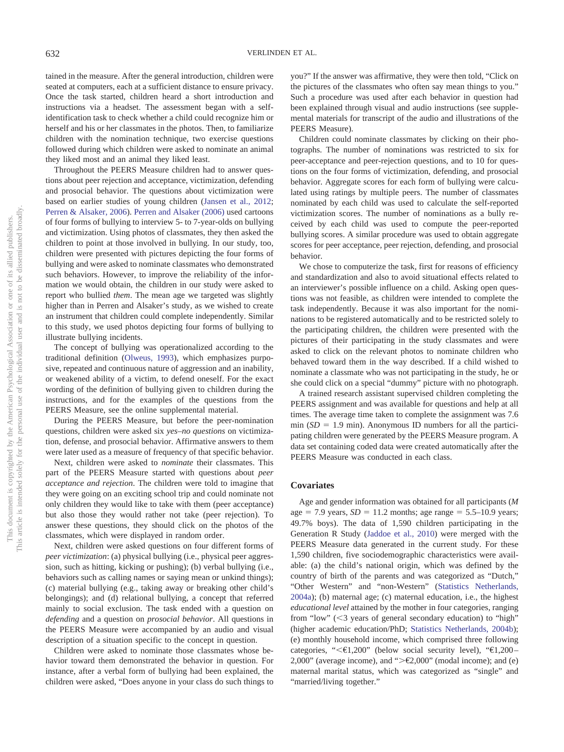tained in the measure. After the general introduction, children were seated at computers, each at a sufficient distance to ensure privacy. Once the task started, children heard a short introduction and instructions via a headset. The assessment began with a selfidentification task to check whether a child could recognize him or herself and his or her classmates in the photos. Then, to familiarize children with the nomination technique, two exercise questions followed during which children were asked to nominate an animal they liked most and an animal they liked least.

Throughout the PEERS Measure children had to answer questions about peer rejection and acceptance, victimization, defending and prosocial behavior. The questions about victimization were based on earlier studies of young children [\(Jansen et al., 2012;](#page-12-10) [Perren & Alsaker, 2006\)](#page-12-1). [Perren and Alsaker \(2006\)](#page-12-1) used cartoons of four forms of bullying to interview 5- to 7-year-olds on bullying and victimization. Using photos of classmates, they then asked the children to point at those involved in bullying. In our study, too, children were presented with pictures depicting the four forms of bullying and were asked to nominate classmates who demonstrated such behaviors. However, to improve the reliability of the information we would obtain, the children in our study were asked to report who bullied *them*. The mean age we targeted was slightly higher than in Perren and Alsaker's study, as we wished to create an instrument that children could complete independently. Similar to this study, we used photos depicting four forms of bullying to illustrate bullying incidents.

The concept of bullying was operationalized according to the traditional definition [\(Olweus, 1993\)](#page-12-14), which emphasizes purposive, repeated and continuous nature of aggression and an inability, or weakened ability of a victim, to defend oneself. For the exact wording of the definition of bullying given to children during the instructions, and for the examples of the questions from the PEERS Measure, see the online supplemental material.

During the PEERS Measure, but before the peer-nomination questions, children were asked six *yes–no questions* on victimization, defense, and prosocial behavior. Affirmative answers to them were later used as a measure of frequency of that specific behavior.

Next, children were asked to *nominate* their classmates. This part of the PEERS Measure started with questions about *peer acceptance and rejection*. The children were told to imagine that they were going on an exciting school trip and could nominate not only children they would like to take with them (peer acceptance) but also those they would rather not take (peer rejection). To answer these questions, they should click on the photos of the classmates, which were displayed in random order.

Next, children were asked questions on four different forms of *peer victimization*: (a) physical bullying (i.e., physical peer aggression, such as hitting, kicking or pushing); (b) verbal bullying (i.e., behaviors such as calling names or saying mean or unkind things); (c) material bullying (e.g., taking away or breaking other child's belongings); and (d) relational bullying, a concept that referred mainly to social exclusion. The task ended with a question on *defending* and a question on *prosocial behavior*. All questions in the PEERS Measure were accompanied by an audio and visual description of a situation specific to the concept in question.

Children were asked to nominate those classmates whose behavior toward them demonstrated the behavior in question. For instance, after a verbal form of bullying had been explained, the children were asked, "Does anyone in your class do such things to you?" If the answer was affirmative, they were then told, "Click on the pictures of the classmates who often say mean things to you." Such a procedure was used after each behavior in question had been explained through visual and audio instructions (see supplemental materials for transcript of the audio and illustrations of the PEERS Measure).

Children could nominate classmates by clicking on their photographs. The number of nominations was restricted to six for peer-acceptance and peer-rejection questions, and to 10 for questions on the four forms of victimization, defending, and prosocial behavior. Aggregate scores for each form of bullying were calculated using ratings by multiple peers. The number of classmates nominated by each child was used to calculate the self-reported victimization scores. The number of nominations as a bully received by each child was used to compute the peer-reported bullying scores. A similar procedure was used to obtain aggregate scores for peer acceptance, peer rejection, defending, and prosocial behavior.

We chose to computerize the task, first for reasons of efficiency and standardization and also to avoid situational effects related to an interviewer's possible influence on a child. Asking open questions was not feasible, as children were intended to complete the task independently. Because it was also important for the nominations to be registered automatically and to be restricted solely to the participating children, the children were presented with the pictures of their participating in the study classmates and were asked to click on the relevant photos to nominate children who behaved toward them in the way described. If a child wished to nominate a classmate who was not participating in the study, he or she could click on a special "dummy" picture with no photograph.

A trained research assistant supervised children completing the PEERS assignment and was available for questions and help at all times. The average time taken to complete the assignment was 7.6  $\min$  (*SD* = 1.9 min). Anonymous ID numbers for all the participating children were generated by the PEERS Measure program. A data set containing coded data were created automatically after the PEERS Measure was conducted in each class.

## **Covariates**

Age and gender information was obtained for all participants (*M* age  $= 7.9$  years,  $SD = 11.2$  months; age range  $= 5.5{\text -}10.9$  years; 49.7% boys). The data of 1,590 children participating in the Generation R Study [\(Jaddoe et al., 2010\)](#page-12-13) were merged with the PEERS Measure data generated in the current study. For these 1,590 children, five sociodemographic characteristics were available: (a) the child's national origin, which was defined by the country of birth of the parents and was categorized as "Dutch," "Other Western" and "non-Western" [\(Statistics Netherlands,](#page-13-6) [2004a\)](#page-13-6); (b) maternal age; (c) maternal education, i.e., the highest *educational level* attained by the mother in four categories, ranging from "low" (3 years of general secondary education) to "high" (higher academic education/PhD; [Statistics Netherlands, 2004b\)](#page-13-7); (e) monthly household income, which comprised three following categories, "€1,200" (below social security level), "€1,200– 2,000" (average income), and " $>\epsilon$ 2,000" (modal income); and (e) maternal marital status, which was categorized as "single" and "married/living together."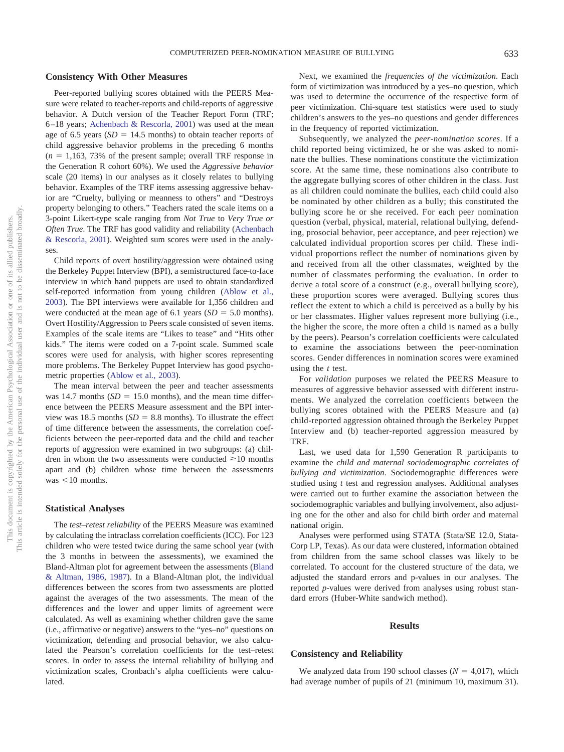Peer-reported bullying scores obtained with the PEERS Measure were related to teacher-reports and child-reports of aggressive behavior. A Dutch version of the Teacher Report Form (TRF; 6–18 years; [Achenbach & Rescorla, 2001\)](#page-11-8) was used at the mean age of 6.5 years  $(SD = 14.5 \text{ months})$  to obtain teacher reports of child aggressive behavior problems in the preceding 6 months  $(n = 1,163, 73\%$  of the present sample; overall TRF response in the Generation R cohort 60%). We used the *Aggressive behavior* scale (20 items) in our analyses as it closely relates to bullying behavior. Examples of the TRF items assessing aggressive behavior are "Cruelty, bullying or meanness to others" and "Destroys property belonging to others." Teachers rated the scale items on a 3-point Likert-type scale ranging from *Not True* to *Very True or Often True*. The TRF has good validity and reliability [\(Achenbach](#page-11-8) [& Rescorla, 2001\)](#page-11-8). Weighted sum scores were used in the analyses.

Child reports of overt hostility/aggression were obtained using the Berkeley Puppet Interview (BPI), a semistructured face-to-face interview in which hand puppets are used to obtain standardized self-reported information from young children [\(Ablow et al.,](#page-11-7) [2003\)](#page-11-7). The BPI interviews were available for 1,356 children and were conducted at the mean age of  $6.1$  years ( $SD = 5.0$  months). Overt Hostility/Aggression to Peers scale consisted of seven items. Examples of the scale items are "Likes to tease" and "Hits other kids." The items were coded on a 7-point scale. Summed scale scores were used for analysis, with higher scores representing more problems. The Berkeley Puppet Interview has good psychometric properties [\(Ablow et al., 2003\)](#page-11-7).

The mean interval between the peer and teacher assessments was 14.7 months  $(SD = 15.0 \text{ months})$ , and the mean time difference between the PEERS Measure assessment and the BPI interview was 18.5 months  $(SD = 8.8 \text{ months})$ . To illustrate the effect of time difference between the assessments, the correlation coefficients between the peer-reported data and the child and teacher reports of aggression were examined in two subgroups: (a) children in whom the two assessments were conducted  $\geq 10$  months apart and (b) children whose time between the assessments was  $\leq 10$  months.

#### **Statistical Analyses**

The *test–retest reliability* of the PEERS Measure was examined by calculating the intraclass correlation coefficients (ICC). For 123 children who were tested twice during the same school year (with the 3 months in between the assessments), we examined the Bland-Altman plot for agreement between the assessments [\(Bland](#page-11-9) [& Altman, 1986,](#page-11-9) [1987\)](#page-11-10). In a Bland-Altman plot, the individual differences between the scores from two assessments are plotted against the averages of the two assessments. The mean of the differences and the lower and upper limits of agreement were calculated. As well as examining whether children gave the same (i.e., affirmative or negative) answers to the "yes–no" questions on victimization, defending and prosocial behavior, we also calculated the Pearson's correlation coefficients for the test–retest scores. In order to assess the internal reliability of bullying and victimization scales, Cronbach's alpha coefficients were calculated.

Next, we examined the *frequencies of the victimization*. Each form of victimization was introduced by a yes–no question, which was used to determine the occurrence of the respective form of peer victimization. Chi-square test statistics were used to study children's answers to the yes–no questions and gender differences in the frequency of reported victimization.

Subsequently, we analyzed the *peer-nomination scores*. If a child reported being victimized, he or she was asked to nominate the bullies. These nominations constitute the victimization score. At the same time, these nominations also contribute to the aggregate bullying scores of other children in the class. Just as all children could nominate the bullies, each child could also be nominated by other children as a bully; this constituted the bullying score he or she received. For each peer nomination question (verbal, physical, material, relational bullying, defending, prosocial behavior, peer acceptance, and peer rejection) we calculated individual proportion scores per child. These individual proportions reflect the number of nominations given by and received from all the other classmates, weighted by the number of classmates performing the evaluation. In order to derive a total score of a construct (e.g., overall bullying score), these proportion scores were averaged. Bullying scores thus reflect the extent to which a child is perceived as a bully by his or her classmates. Higher values represent more bullying (i.e., the higher the score, the more often a child is named as a bully by the peers). Pearson's correlation coefficients were calculated to examine the associations between the peer-nomination scores. Gender differences in nomination scores were examined using the *t* test.

For *validation* purposes we related the PEERS Measure to measures of aggressive behavior assessed with different instruments. We analyzed the correlation coefficients between the bullying scores obtained with the PEERS Measure and (a) child-reported aggression obtained through the Berkeley Puppet Interview and (b) teacher-reported aggression measured by TRF.

Last, we used data for 1,590 Generation R participants to examine the *child and maternal sociodemographic correlates of bullying and victimization*. Sociodemographic differences were studied using *t* test and regression analyses. Additional analyses were carried out to further examine the association between the sociodemographic variables and bullying involvement, also adjusting one for the other and also for child birth order and maternal national origin.

Analyses were performed using STATA (Stata/SE 12.0, Stata-Corp LP, Texas). As our data were clustered, information obtained from children from the same school classes was likely to be correlated. To account for the clustered structure of the data, we adjusted the standard errors and p-values in our analyses. The reported *p*-values were derived from analyses using robust standard errors (Huber-White sandwich method).

#### **Results**

#### **Consistency and Reliability**

We analyzed data from 190 school classes  $(N = 4,017)$ , which had average number of pupils of 21 (minimum 10, maximum 31).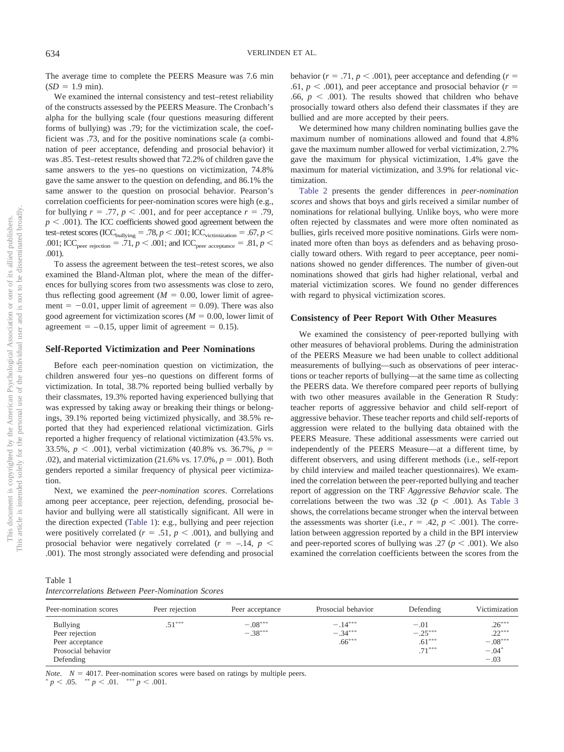The average time to complete the PEERS Measure was 7.6 min  $(SD = 1.9 \text{ min}).$ 

We examined the internal consistency and test–retest reliability of the constructs assessed by the PEERS Measure. The Cronbach's alpha for the bullying scale (four questions measuring different forms of bullying) was .79; for the victimization scale, the coefficient was .73, and for the positive nominations scale (a combination of peer acceptance, defending and prosocial behavior) it was .85. Test–retest results showed that 72.2% of children gave the same answers to the yes–no questions on victimization, 74.8% gave the same answer to the question on defending, and 86.1% the same answer to the question on prosocial behavior. Pearson's correlation coefficients for peer-nomination scores were high (e.g., for bullying  $r = .77$ ,  $p < .001$ , and for peer acceptance  $r = .79$ ,  $p < .001$ ). The ICC coefficients showed good agreement between the test–retest scores (ICC<sub>bullying</sub> = .78,  $p < .001$ ; ICC<sub>victimization</sub> = .67,  $p <$ .001; ICC<sub>peer rejection</sub> = .71,  $p < .001$ ; and ICC<sub>peer acceptance</sub> = .81,  $p <$ .001).

To assess the agreement between the test–retest scores, we also examined the Bland-Altman plot, where the mean of the differences for bullying scores from two assessments was close to zero, thus reflecting good agreement  $(M = 0.00)$ , lower limit of agreement  $= -0.01$ , upper limit of agreement  $= 0.09$ ). There was also good agreement for victimization scores  $(M = 0.00)$ , lower limit of agreement  $= -0.15$ , upper limit of agreement  $= 0.15$ ).

## **Self-Reported Victimization and Peer Nominations**

Before each peer-nomination question on victimization, the children answered four yes–no questions on different forms of victimization. In total, 38.7% reported being bullied verbally by their classmates, 19.3% reported having experienced bullying that was expressed by taking away or breaking their things or belongings, 39.1% reported being victimized physically, and 38.5% reported that they had experienced relational victimization. Girls reported a higher frequency of relational victimization (43.5% vs. 33.5%,  $p < .001$ ), verbal victimization (40.8% vs. 36.7%,  $p =$ .02), and material victimization  $(21.6\% \text{ vs. } 17.0\%, p = .001)$ . Both genders reported a similar frequency of physical peer victimization.

Next, we examined the *peer-nomination scores*. Correlations among peer acceptance, peer rejection, defending, prosocial behavior and bullying were all statistically significant. All were in the direction expected [\(Table 1\)](#page-6-0): e.g., bullying and peer rejection were positively correlated  $(r = .51, p < .001)$ , and bullying and prosocial behavior were negatively correlated  $(r = -.14, p <$ .001). The most strongly associated were defending and prosocial

behavior ( $r = .71$ ,  $p < .001$ ), peer acceptance and defending ( $r =$ .61,  $p < .001$ ), and peer acceptance and prosocial behavior ( $r =$ .66,  $p \leq .001$ ). The results showed that children who behave prosocially toward others also defend their classmates if they are bullied and are more accepted by their peers.

We determined how many children nominating bullies gave the maximum number of nominations allowed and found that 4.8% gave the maximum number allowed for verbal victimization, 2.7% gave the maximum for physical victimization, 1.4% gave the maximum for material victimization, and 3.9% for relational victimization.

[Table 2](#page-7-0) presents the gender differences in *peer-nomination scores* and shows that boys and girls received a similar number of nominations for relational bullying. Unlike boys, who were more often rejected by classmates and were more often nominated as bullies, girls received more positive nominations. Girls were nominated more often than boys as defenders and as behaving prosocially toward others. With regard to peer acceptance, peer nominations showed no gender differences. The number of given-out nominations showed that girls had higher relational, verbal and material victimization scores. We found no gender differences with regard to physical victimization scores.

## **Consistency of Peer Report With Other Measures**

We examined the consistency of peer-reported bullying with other measures of behavioral problems. During the administration of the PEERS Measure we had been unable to collect additional measurements of bullying—such as observations of peer interactions or teacher reports of bullying—at the same time as collecting the PEERS data. We therefore compared peer reports of bullying with two other measures available in the Generation R Study: teacher reports of aggressive behavior and child self-report of aggressive behavior. These teacher reports and child self-reports of aggression were related to the bullying data obtained with the PEERS Measure. These additional assessments were carried out independently of the PEERS Measure—at a different time, by different observers, and using different methods (i.e., self-report by child interview and mailed teacher questionnaires). We examined the correlation between the peer-reported bullying and teacher report of aggression on the TRF *Aggressive Behavior* scale. The correlations between the two was .32 ( $p < .001$ ). As [Table 3](#page-7-1) shows, the correlations became stronger when the interval between the assessments was shorter (i.e.,  $r = .42$ ,  $p < .001$ ). The correlation between aggression reported by a child in the BPI interview and peer-reported scores of bullying was .27 ( $p < .001$ ). We also examined the correlation coefficients between the scores from the

<span id="page-6-0"></span>Table 1 *Intercorrelations Between Peer-Nomination Scores*

| Peer-nomination scores                                                           | Peer rejection | Peer acceptance        | Prosocial behavior                | Defending                                   | Victimization                                          |
|----------------------------------------------------------------------------------|----------------|------------------------|-----------------------------------|---------------------------------------------|--------------------------------------------------------|
| Bullying<br>Peer rejection<br>Peer acceptance<br>Prosocial behavior<br>Defending | $.51***$       | $-.08***$<br>$-.38***$ | $-14***$<br>$-.34***$<br>$.66***$ | $-.01$<br>$-.25***$<br>$.61***$<br>$.71***$ | $.26***$<br>$.22***$<br>$-.08***$<br>$-.04*$<br>$-.03$ |

*Note.*  $N = 4017$ . Peer-nomination scores were based on ratings by multiple peers.

 $p < .05.$  \*\*  $p < .01.$  \*\*\*  $p < .001.$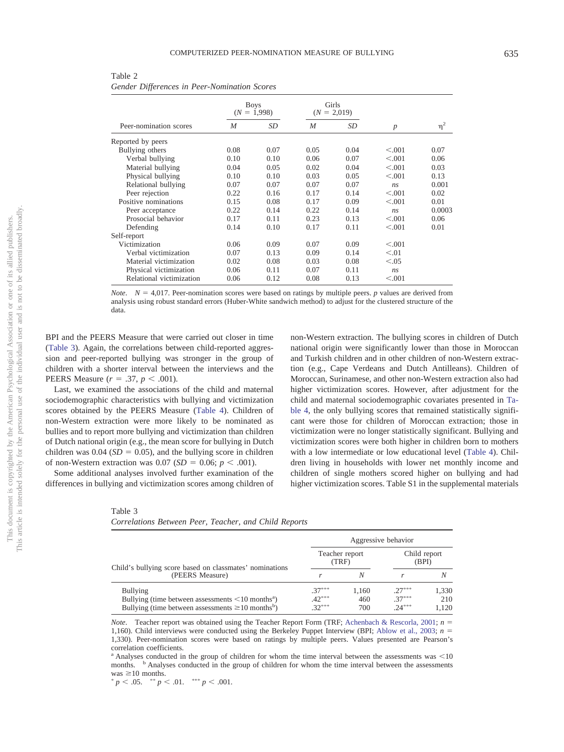| v         | ٠  |                  |
|-----------|----|------------------|
| ۰.<br>. . | ۰, | I<br>n e s<br>۰. |

|                          | <b>Boys</b><br>$= 1,998$<br>(N |      | Girls<br>$= 2,019$<br>(N |      |                  |          |
|--------------------------|--------------------------------|------|--------------------------|------|------------------|----------|
| Peer-nomination scores   | M                              | SD   | M                        | SD   | $\boldsymbol{p}$ | $\eta^2$ |
| Reported by peers        |                                |      |                          |      |                  |          |
| Bullying others          | 0.08                           | 0.07 | 0.05                     | 0.04 | < 0.001          | 0.07     |
| Verbal bullying          | 0.10                           | 0.10 | 0.06                     | 0.07 | < 0.001          | 0.06     |
| Material bullying        | 0.04                           | 0.05 | 0.02                     | 0.04 | < 0.001          | 0.03     |
| Physical bullying        | 0.10                           | 0.10 | 0.03                     | 0.05 | < 0.001          | 0.13     |
| Relational bullying      | 0.07                           | 0.07 | 0.07                     | 0.07 | ns               | 0.001    |
| Peer rejection           | 0.22                           | 0.16 | 0.17                     | 0.14 | < 0.001          | 0.02     |
| Positive nominations     | 0.15                           | 0.08 | 0.17                     | 0.09 | < 0.001          | 0.01     |
| Peer acceptance          | 0.22                           | 0.14 | 0.22                     | 0.14 | n <sub>s</sub>   | 0.0003   |
| Prosocial behavior       | 0.17                           | 0.11 | 0.23                     | 0.13 | < 0.001          | 0.06     |
| Defending                | 0.14                           | 0.10 | 0.17                     | 0.11 | < 0.001          | 0.01     |
| Self-report              |                                |      |                          |      |                  |          |
| Victimization            | 0.06                           | 0.09 | 0.07                     | 0.09 | < 0.001          |          |
| Verbal victimization     | 0.07                           | 0.13 | 0.09                     | 0.14 | < 0.01           |          |
| Material victimization   | 0.02                           | 0.08 | 0.03                     | 0.08 | < 0.05           |          |
| Physical victimization   | 0.06                           | 0.11 | 0.07                     | 0.11 | ns               |          |
| Relational victimization | 0.06                           | 0.12 | 0.08                     | 0.13 | < 0.001          |          |

<span id="page-7-0"></span>Table 2 *Gender Differences in Peer-Nomination Scores*

*Note.*  $N = 4.017$ . Peer-nomination scores were based on ratings by multiple peers. *p* values are derived from analysis using robust standard errors (Huber-White sandwich method) to adjust for the clustered structure of the data.

BPI and the PEERS Measure that were carried out closer in time [\(Table 3\)](#page-7-1). Again, the correlations between child-reported aggression and peer-reported bullying was stronger in the group of children with a shorter interval between the interviews and the PEERS Measure  $(r = .37, p < .001)$ .

Last, we examined the associations of the child and maternal sociodemographic characteristics with bullying and victimization scores obtained by the PEERS Measure [\(Table 4\)](#page-8-0). Children of non-Western extraction were more likely to be nominated as bullies and to report more bullying and victimization than children of Dutch national origin (e.g., the mean score for bullying in Dutch children was  $0.04$  (*SD* = 0.05), and the bullying score in children of non-Western extraction was  $0.07$  (*SD* = 0.06;  $p < .001$ ).

Some additional analyses involved further examination of the differences in bullying and victimization scores among children of non-Western extraction. The bullying scores in children of Dutch national origin were significantly lower than those in Moroccan and Turkish children and in other children of non-Western extraction (e.g., Cape Verdeans and Dutch Antilleans). Children of Moroccan, Surinamese, and other non-Western extraction also had higher victimization scores. However, after adjustment for the child and maternal sociodemographic covariates presented in [Ta](#page-8-0)[ble 4,](#page-8-0) the only bullying scores that remained statistically significant were those for children of Moroccan extraction; those in victimization were no longer statistically significant. Bullying and victimization scores were both higher in children born to mothers with a low intermediate or low educational level [\(Table 4\)](#page-8-0). Children living in households with lower net monthly income and children of single mothers scored higher on bullying and had higher victimization scores. Table S1 in the supplemental materials

<span id="page-7-1"></span>

| Table 3                                               |  |
|-------------------------------------------------------|--|
| Correlations Between Peer, Teacher, and Child Reports |  |

|                                                                    |                         | Aggressive behavior |                       |       |  |  |  |
|--------------------------------------------------------------------|-------------------------|---------------------|-----------------------|-------|--|--|--|
| Child's bullying score based on classmates' nominations            | Teacher report<br>(TRF) |                     | Child report<br>(BPI) |       |  |  |  |
| (PEERS Measure)                                                    |                         | Ν                   |                       | Ν     |  |  |  |
| Bullying                                                           | $.37***$                | 1.160               | $.27***$              | 1,330 |  |  |  |
| Bullying (time between assessments $\leq 10$ months <sup>a</sup> ) | $.42***$                | 460                 | $.37***$              | 210   |  |  |  |
| Bullying (time between assessments $\geq 10$ months <sup>b</sup> ) | $.32***$                | 700                 | $.24***$              | 1.120 |  |  |  |

*Note*. Teacher report was obtained using the Teacher Report Form (TRF; [Achenbach & Rescorla, 2001;](#page-11-8) *n* = 1,160). Child interviews were conducted using the Berkeley Puppet Interview (BPI; [Ablow et al., 2003;](#page-11-7)  $n =$ 1,330). Peer-nomination scores were based on ratings by multiple peers. Values presented are Pearson's correlation coefficients.

 $a$  Analyses conducted in the group of children for whom the time interval between the assessments was  $<10$ months. <sup>b</sup> Analyses conducted in the group of children for whom the time interval between the assessments was  $\geq 10$  months.<br>\*  $n \leq 0.5$  \*\*  $n \leq 10$ 

 $p < .05.$  \*\*  $p < .01.$  \*\*\*  $p < .001.$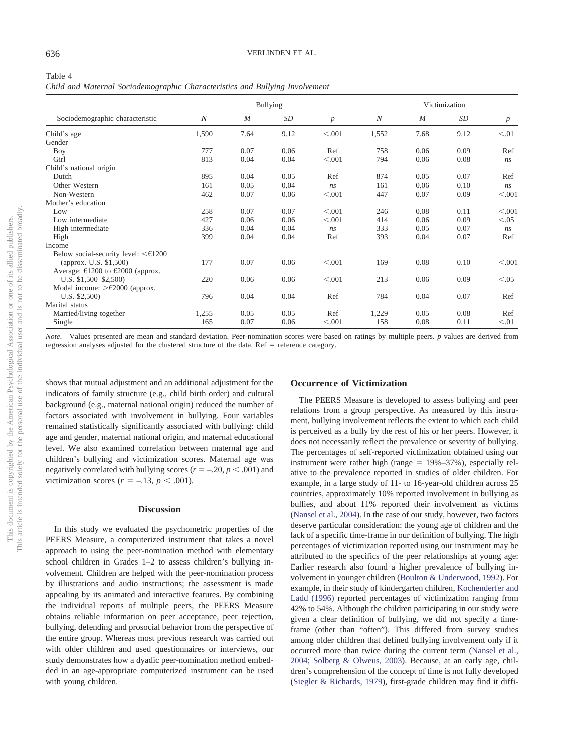<span id="page-8-0"></span>Table 4

*Child and Maternal Sociodemographic Characteristics and Bullying Involvement*

|                                                                            | <b>Bullying</b> |      |      |         | Victimization    |                  |      |           |
|----------------------------------------------------------------------------|-----------------|------|------|---------|------------------|------------------|------|-----------|
| Sociodemographic characteristic                                            | $\cal N$        | M    | SD   | p       | $\boldsymbol{N}$ | $\boldsymbol{M}$ | SD   | $p_{\rm}$ |
| Child's age                                                                | 1,590           | 7.64 | 9.12 | < 0.001 | 1,552            | 7.68             | 9.12 | < 0.01    |
| Gender                                                                     |                 |      |      |         |                  |                  |      |           |
| Boy                                                                        | 777             | 0.07 | 0.06 | Ref     | 758              | 0.06             | 0.09 | Ref       |
| Girl                                                                       | 813             | 0.04 | 0.04 | < 0.001 | 794              | 0.06             | 0.08 | ns        |
| Child's national origin                                                    |                 |      |      |         |                  |                  |      |           |
| Dutch                                                                      | 895             | 0.04 | 0.05 | Ref     | 874              | 0.05             | 0.07 | Ref       |
| Other Western                                                              | 161             | 0.05 | 0.04 | ns      | 161              | 0.06             | 0.10 | ns        |
| Non-Western                                                                | 462             | 0.07 | 0.06 | < 0.001 | 447              | 0.07             | 0.09 | < 0.001   |
| Mother's education                                                         |                 |      |      |         |                  |                  |      |           |
| Low                                                                        | 258             | 0.07 | 0.07 | < 0.001 | 246              | 0.08             | 0.11 | < 0.001   |
| Low intermediate                                                           | 427             | 0.06 | 0.06 | < 0.001 | 414              | 0.06             | 0.09 | < 0.05    |
| High intermediate                                                          | 336             | 0.04 | 0.04 | ns      | 333              | 0.05             | 0.07 | ns        |
| High                                                                       | 399             | 0.04 | 0.04 | Ref     | 393              | 0.04             | 0.07 | Ref       |
| Income                                                                     |                 |      |      |         |                  |                  |      |           |
| Below social-security level: $\leq \text{\textsterling}1200$               |                 |      |      |         |                  |                  |      |           |
| (approx. U.S. \$1,500)                                                     | 177             | 0.07 | 0.06 | < 0.001 | 169              | 0.08             | 0.10 | < 0.001   |
| Average: $\text{\textsterling}1200$ to $\text{\textsterling}2000$ (approx. |                 |      |      |         |                  |                  |      |           |
| U.S. $$1,500 - $2,500$                                                     | 220             | 0.06 | 0.06 | < 0.001 | 213              | 0.06             | 0.09 | < 0.05    |
| Modal income: $>\epsilon$ 2000 (approx.                                    |                 |      |      |         |                  |                  |      |           |
| $U.S.$ \$2,500)                                                            | 796             | 0.04 | 0.04 | Ref     | 784              | 0.04             | 0.07 | Ref       |
| Marital status                                                             |                 |      |      |         |                  |                  |      |           |
| Married/living together                                                    | 1,255           | 0.05 | 0.05 | Ref     | 1,229            | 0.05             | 0.08 | Ref       |
| Single                                                                     | 165             | 0.07 | 0.06 | < 0.001 | 158              | 0.08             | 0.11 | < 0.01    |

*Note*. Values presented are mean and standard deviation. Peer-nomination scores were based on ratings by multiple peers. *p* values are derived from regression analyses adjusted for the clustered structure of the data. Ref  $=$  reference category.

shows that mutual adjustment and an additional adjustment for the indicators of family structure (e.g., child birth order) and cultural background (e.g., maternal national origin) reduced the number of factors associated with involvement in bullying. Four variables remained statistically significantly associated with bullying: child age and gender, maternal national origin, and maternal educational level. We also examined correlation between maternal age and children's bullying and victimization scores. Maternal age was negatively correlated with bullying scores ( $r = -.20, p < .001$ ) and victimization scores ( $r = -.13$ ,  $p < .001$ ).

#### **Discussion**

In this study we evaluated the psychometric properties of the PEERS Measure, a computerized instrument that takes a novel approach to using the peer-nomination method with elementary school children in Grades 1–2 to assess children's bullying involvement. Children are helped with the peer-nomination process by illustrations and audio instructions; the assessment is made appealing by its animated and interactive features. By combining the individual reports of multiple peers, the PEERS Measure obtains reliable information on peer acceptance, peer rejection, bullying, defending and prosocial behavior from the perspective of the entire group. Whereas most previous research was carried out with older children and used questionnaires or interviews, our study demonstrates how a dyadic peer-nomination method embedded in an age-appropriate computerized instrument can be used with young children.

## **Occurrence of Victimization**

The PEERS Measure is developed to assess bullying and peer relations from a group perspective. As measured by this instrument, bullying involvement reflects the extent to which each child is perceived as a bully by the rest of his or her peers. However, it does not necessarily reflect the prevalence or severity of bullying. The percentages of self-reported victimization obtained using our instrument were rather high (range  $= 19\% - 37\%$ ), especially relative to the prevalence reported in studies of older children. For example, in a large study of 11- to 16-year-old children across 25 countries, approximately 10% reported involvement in bullying as bullies, and about 11% reported their involvement as victims [\(Nansel et al., 2004\)](#page-12-15). In the case of our study, however, two factors deserve particular consideration: the young age of children and the lack of a specific time-frame in our definition of bullying. The high percentages of victimization reported using our instrument may be attributed to the specifics of the peer relationships at young age: Earlier research also found a higher prevalence of bullying involvement in younger children [\(Boulton & Underwood, 1992\)](#page-11-3). For example, in their study of kindergarten children, [Kochenderfer and](#page-12-0) [Ladd \(1996\)](#page-12-0) reported percentages of victimization ranging from 42% to 54%. Although the children participating in our study were given a clear definition of bullying, we did not specify a timeframe (other than "often"). This differed from survey studies among older children that defined bullying involvement only if it occurred more than twice during the current term [\(Nansel et al.,](#page-12-15) [2004;](#page-12-15) [Solberg & Olweus, 2003\)](#page-13-8). Because, at an early age, children's comprehension of the concept of time is not fully developed [\(Siegler & Richards, 1979\)](#page-13-9), first-grade children may find it diffi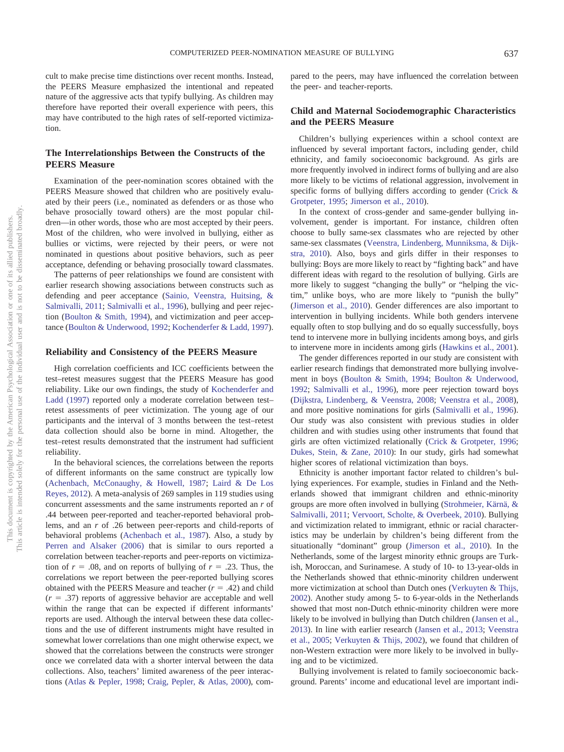cult to make precise time distinctions over recent months. Instead, the PEERS Measure emphasized the intentional and repeated nature of the aggressive acts that typify bullying. As children may therefore have reported their overall experience with peers, this may have contributed to the high rates of self-reported victimization.

# **The Interrelationships Between the Constructs of the PEERS Measure**

Examination of the peer-nomination scores obtained with the PEERS Measure showed that children who are positively evaluated by their peers (i.e., nominated as defenders or as those who behave prosocially toward others) are the most popular children—in other words, those who are most accepted by their peers. Most of the children, who were involved in bullying, either as bullies or victims, were rejected by their peers, or were not nominated in questions about positive behaviors, such as peer acceptance, defending or behaving prosocially toward classmates.

The patterns of peer relationships we found are consistent with earlier research showing associations between constructs such as defending and peer acceptance [\(Sainio, Veenstra, Huitsing, &](#page-12-16) [Salmivalli, 2011;](#page-12-16) [Salmivalli et al., 1996\)](#page-12-5), bullying and peer rejection [\(Boulton & Smith, 1994\)](#page-11-11), and victimization and peer acceptance [\(Boulton & Underwood, 1992;](#page-11-3) [Kochenderfer & Ladd, 1997\)](#page-12-17).

#### **Reliability and Consistency of the PEERS Measure**

High correlation coefficients and ICC coefficients between the test–retest measures suggest that the PEERS Measure has good reliability. Like our own findings, the study of [Kochenderfer and](#page-12-17) [Ladd \(1997\)](#page-12-17) reported only a moderate correlation between test– retest assessments of peer victimization. The young age of our participants and the interval of 3 months between the test–retest data collection should also be borne in mind. Altogether, the test–retest results demonstrated that the instrument had sufficient reliability.

In the behavioral sciences, the correlations between the reports of different informants on the same construct are typically low [\(Achenbach, McConaughy, & Howell, 1987;](#page-11-12) [Laird & De Los](#page-12-18) [Reyes, 2012\)](#page-12-18). A meta-analysis of 269 samples in 119 studies using concurrent assessments and the same instruments reported an *r* of .44 between peer-reported and teacher-reported behavioral problems, and an *r* of .26 between peer-reports and child-reports of behavioral problems [\(Achenbach et al., 1987\)](#page-11-12). Also, a study by [Perren and Alsaker \(2006\)](#page-12-1) that is similar to ours reported a correlation between teacher-reports and peer-reports on victimization of  $r = .08$ , and on reports of bullying of  $r = .23$ . Thus, the correlations we report between the peer-reported bullying scores obtained with the PEERS Measure and teacher  $(r = .42)$  and child  $(r = .37)$  reports of aggressive behavior are acceptable and well within the range that can be expected if different informants' reports are used. Although the interval between these data collections and the use of different instruments might have resulted in somewhat lower correlations than one might otherwise expect, we showed that the correlations between the constructs were stronger once we correlated data with a shorter interval between the data collections. Also, teachers' limited awareness of the peer interactions [\(Atlas & Pepler, 1998;](#page-11-13) [Craig, Pepler, & Atlas, 2000\)](#page-11-14), com-

pared to the peers, may have influenced the correlation between the peer- and teacher-reports.

# **Child and Maternal Sociodemographic Characteristics and the PEERS Measure**

Children's bullying experiences within a school context are influenced by several important factors, including gender, child ethnicity, and family socioeconomic background. As girls are more frequently involved in indirect forms of bullying and are also more likely to be victims of relational aggression, involvement in specific forms of bullying differs according to gender [\(Crick &](#page-11-15) [Grotpeter, 1995;](#page-11-15) [Jimerson et al., 2010\)](#page-12-9).

In the context of cross-gender and same-gender bullying involvement, gender is important. For instance, children often choose to bully same-sex classmates who are rejected by other same-sex classmates [\(Veenstra, Lindenberg, Munniksma, & Dijk](#page-13-10)[stra, 2010\)](#page-13-10). Also, boys and girls differ in their responses to bullying: Boys are more likely to react by "fighting back" and have different ideas with regard to the resolution of bullying. Girls are more likely to suggest "changing the bully" or "helping the victim," unlike boys, who are more likely to "punish the bully" [\(Jimerson et al., 2010\)](#page-12-9). Gender differences are also important to intervention in bullying incidents. While both genders intervene equally often to stop bullying and do so equally successfully, boys tend to intervene more in bullying incidents among boys, and girls to intervene more in incidents among girls [\(Hawkins et al., 2001\)](#page-12-3).

The gender differences reported in our study are consistent with earlier research findings that demonstrated more bullying involvement in boys [\(Boulton & Smith, 1994;](#page-11-11) [Boulton & Underwood,](#page-11-3) [1992;](#page-11-3) [Salmivalli et al., 1996\)](#page-12-5), more peer rejection toward boys [\(Dijkstra, Lindenberg, & Veenstra, 2008;](#page-11-16) [Veenstra et al., 2008\)](#page-13-11), and more positive nominations for girls [\(Salmivalli et al., 1996\)](#page-12-5). Our study was also consistent with previous studies in older children and with studies using other instruments that found that girls are often victimized relationally [\(Crick & Grotpeter, 1996;](#page-11-17) [Dukes, Stein, & Zane, 2010\)](#page-12-19): In our study, girls had somewhat higher scores of relational victimization than boys.

Ethnicity is another important factor related to children's bullying experiences. For example, studies in Finland and the Netherlands showed that immigrant children and ethnic-minority groups are more often involved in bullying [\(Strohmeier, Kärnä, &](#page-13-12) [Salmivalli, 2011;](#page-13-12) [Vervoort, Scholte, & Overbeek, 2010\)](#page-13-13). Bullying and victimization related to immigrant, ethnic or racial characteristics may be underlain by children's being different from the situationally "dominant" group [\(Jimerson et al., 2010\)](#page-12-9). In the Netherlands, some of the largest minority ethnic groups are Turkish, Moroccan, and Surinamese. A study of 10- to 13-year-olds in the Netherlands showed that ethnic-minority children underwent more victimization at school than Dutch ones [\(Verkuyten & Thijs,](#page-13-4) [2002\)](#page-13-4). Another study among 5- to 6-year-olds in the Netherlands showed that most non-Dutch ethnic-minority children were more likely to be involved in bullying than Dutch children [\(Jansen et al.,](#page-12-12) [2013\)](#page-12-12). In line with earlier research [\(Jansen et al., 2013;](#page-12-12) [Veenstra](#page-13-14) [et al., 2005;](#page-13-14) [Verkuyten & Thijs, 2002\)](#page-13-4), we found that children of non-Western extraction were more likely to be involved in bullying and to be victimized.

Bullying involvement is related to family socioeconomic background. Parents' income and educational level are important indi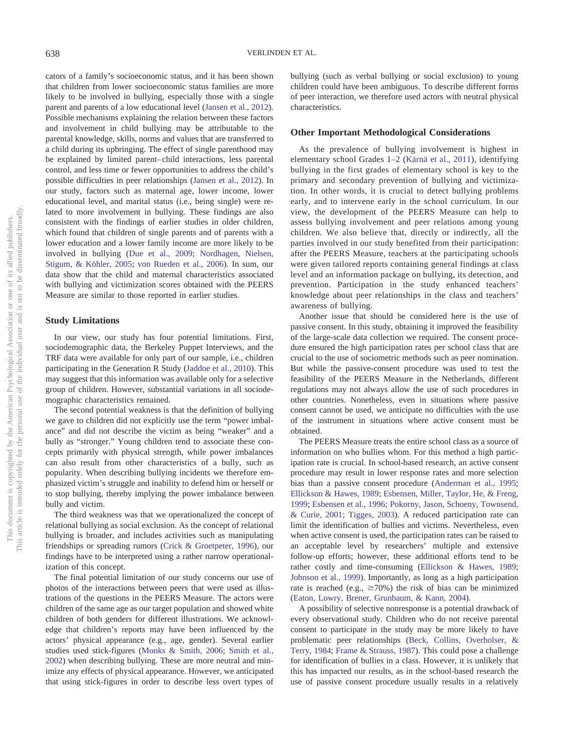cators of a family's socioeconomic status, and it has been shown that children from lower socioeconomic status families are more likely to be involved in bullying, especially those with a single parent and parents of a low educational level [\(Jansen et al., 2012\)](#page-12-10). Possible mechanisms explaining the relation between these factors and involvement in child bullying may be attributable to the parental knowledge, skills, norms and values that are transferred to a child during its upbringing. The effect of single parenthood may be explained by limited parent–child interactions, less parental control, and less time or fewer opportunities to address the child's possible difficulties in peer relationships [\(Jansen et al., 2012\)](#page-12-10). In our study, factors such as maternal age, lower income, lower educational level, and marital status (i.e., being single) were related to more involvement in bullying. These findings are also consistent with the findings of earlier studies in older children, which found that children of single parents and of parents with a lower education and a lower family income are more likely to be involved in bullying [\(Due et al., 2009;](#page-12-20) [Nordhagen, Nielsen,](#page-12-21) [Stigum, & Köhler, 2005;](#page-12-21) [von Rueden et al., 2006\)](#page-13-15). In sum, our data show that the child and maternal characteristics associated with bullying and victimization scores obtained with the PEERS Measure are similar to those reported in earlier studies.

#### **Study Limitations**

In our view, our study has four potential limitations. First, sociodemographic data, the Berkeley Puppet Interviews, and the TRF data were available for only part of our sample, i.e., children participating in the Generation R Study [\(Jaddoe et al., 2010\)](#page-12-13). This may suggest that this information was available only for a selective group of children. However, substantial variations in all sociodemographic characteristics remained.

The second potential weakness is that the definition of bullying we gave to children did not explicitly use the term "power imbalance" and did not describe the victim as being "weaker" and a bully as "stronger." Young children tend to associate these concepts primarily with physical strength, while power imbalances can also result from other characteristics of a bully, such as popularity. When describing bullying incidents we therefore emphasized victim's struggle and inability to defend him or herself or to stop bullying, thereby implying the power imbalance between bully and victim.

The third weakness was that we operationalized the concept of relational bullying as social exclusion. As the concept of relational bullying is broader, and includes activities such as manipulating friendships or spreading rumors [\(Crick & Groetpeter, 1996\)](#page-11-17), our findings have to be interpreted using a rather narrow operationalization of this concept.

The final potential limitation of our study concerns our use of photos of the interactions between peers that were used as illustrations of the questions in the PEERS Measure. The actors were children of the same age as our target population and showed white children of both genders for different illustrations. We acknowledge that children's reports may have been influenced by the actors' physical appearance (e.g., age, gender). Several earlier studies used stick-figures [\(Monks & Smith, 2006;](#page-12-22) [Smith et al.,](#page-13-3) [2002\)](#page-13-3) when describing bullying. These are more neutral and minimize any effects of physical appearance. However, we anticipated that using stick-figures in order to describe less overt types of bullying (such as verbal bullying or social exclusion) to young children could have been ambiguous. To describe different forms of peer interaction, we therefore used actors with neutral physical characteristics.

#### **Other Important Methodological Considerations**

As the prevalence of bullying involvement is highest in elementary school Grades 1–2 [\(Kärnä et al., 2011\)](#page-12-11), identifying bullying in the first grades of elementary school is key to the primary and secondary prevention of bullying and victimization. In other words, it is crucial to detect bullying problems early, and to intervene early in the school curriculum. In our view, the development of the PEERS Measure can help to assess bullying involvement and peer relations among young children. We also believe that, directly or indirectly, all the parties involved in our study benefited from their participation: after the PEERS Measure, teachers at the participating schools were given tailored reports containing general findings at class level and an information package on bullying, its detection, and prevention. Participation in the study enhanced teachers' knowledge about peer relationships in the class and teachers' awareness of bullying.

Another issue that should be considered here is the use of passive consent. In this study, obtaining it improved the feasibility of the large-scale data collection we required. The consent procedure ensured the high participation rates per school class that are crucial to the use of sociometric methods such as peer nomination. But while the passive-consent procedure was used to test the feasibility of the PEERS Measure in the Netherlands, different regulations may not always allow the use of such procedures in other countries. Nonetheless, even in situations where passive consent cannot be used, we anticipate no difficulties with the use of the instrument in situations where active consent must be obtained.

The PEERS Measure treats the entire school class as a source of information on who bullies whom. For this method a high participation rate is crucial. In school-based research, an active consent procedure may result in lower response rates and more selection bias than a passive consent procedure [\(Anderman et al., 1995;](#page-11-18) [Ellickson & Hawes, 1989;](#page-12-23) [Esbensen, Miller, Taylor, He, & Freng,](#page-12-24) [1999;](#page-12-24) [Esbensen et al., 1996;](#page-12-25) [Pokorny, Jason, Schoeny, Townsend,](#page-12-26) [& Curie, 2001;](#page-12-26) [Tigges, 2003\)](#page-13-16). A reduced participation rate can limit the identification of bullies and victims. Nevertheless, even when active consent is used, the participation rates can be raised to an acceptable level by researchers' multiple and extensive follow-up efforts; however, these additional efforts tend to be rather costly and time-consuming [\(Ellickson & Hawes, 1989;](#page-12-23) [Johnson et al., 1999\)](#page-12-27). Importantly, as long as a high participation rate is reached (e.g.,  $\geq 70\%$ ) the risk of bias can be minimized [\(Eaton, Lowry, Brener, Grunbaum, & Kann, 2004\)](#page-12-28).

A possibility of selective nonresponse is a potential drawback of every observational study. Children who do not receive parental consent to participate in the study may be more likely to have problematic peer relationships [\(Beck, Collins, Overholser, &](#page-11-19) [Terry, 1984;](#page-11-19) [Frame & Strauss, 1987\)](#page-12-29). This could pose a challenge for identification of bullies in a class. However, it is unlikely that this has impacted our results, as in the school-based research the use of passive consent procedure usually results in a relatively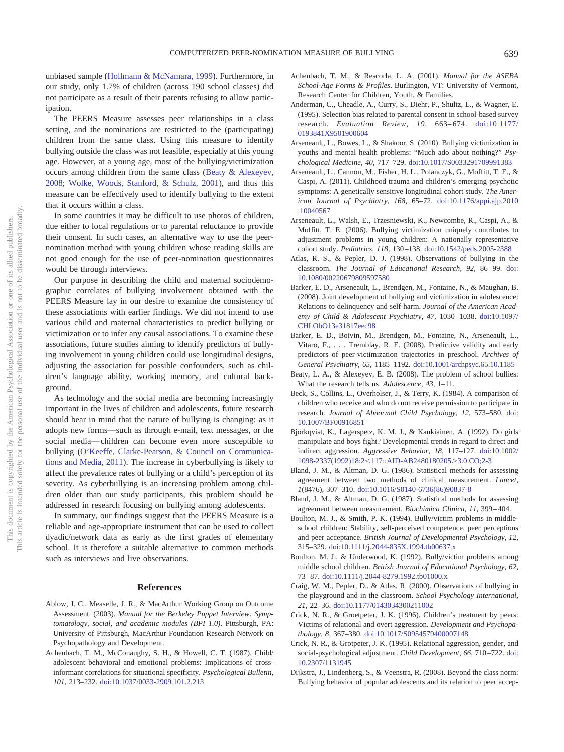unbiased sample [\(Hollmann & McNamara, 1999\)](#page-12-30). Furthermore, in our study, only 1.7% of children (across 190 school classes) did not participate as a result of their parents refusing to allow participation.

The PEERS Measure assesses peer relationships in a class setting, and the nominations are restricted to the (participating) children from the same class. Using this measure to identify bullying outside the class was not feasible, especially at this young age. However, at a young age, most of the bullying/victimization occurs among children from the same class [\(Beaty & Alexeyev,](#page-11-20) [2008;](#page-11-20) [Wolke, Woods, Stanford, & Schulz, 2001\)](#page-13-17), and thus this measure can be effectively used to identify bullying to the extent that it occurs within a class.

In some countries it may be difficult to use photos of children, due either to local regulations or to parental reluctance to provide their consent. In such cases, an alternative way to use the peernomination method with young children whose reading skills are not good enough for the use of peer-nomination questionnaires would be through interviews.

Our purpose in describing the child and maternal sociodemographic correlates of bullying involvement obtained with the PEERS Measure lay in our desire to examine the consistency of these associations with earlier findings. We did not intend to use various child and maternal characteristics to predict bullying or victimization or to infer any causal associations. To examine these associations, future studies aiming to identify predictors of bullying involvement in young children could use longitudinal designs, adjusting the association for possible confounders, such as children's language ability, working memory, and cultural background.

As technology and the social media are becoming increasingly important in the lives of children and adolescents, future research should bear in mind that the nature of bullying is changing: as it adopts new forms—such as through e-mail, text messages, or the social media—children can become even more susceptible to bullying [\(O'Keeffe, Clarke-Pearson, & Council on Communica](#page-12-31)[tions and Media, 2011\)](#page-12-31). The increase in cyberbullying is likely to affect the prevalence rates of bullying or a child's perception of its severity. As cyberbullying is an increasing problem among children older than our study participants, this problem should be addressed in research focusing on bullying among adolescents.

In summary, our findings suggest that the PEERS Measure is a reliable and age-appropriate instrument that can be used to collect dyadic/network data as early as the first grades of elementary school. It is therefore a suitable alternative to common methods such as interviews and live observations.

## **References**

- <span id="page-11-7"></span>Ablow, J. C., Measelle, J. R., & MacArthur Working Group on Outcome Assessment. (2003). *Manual for the Berkeley Puppet Interview: Symptomatology, social, and academic modules (BPI 1.0)*. Pittsburgh, PA: University of Pittsburgh, MacArthur Foundation Research Network on Psychopathology and Development.
- <span id="page-11-12"></span>Achenbach, T. M., McConaughy, S. H., & Howell, C. T. (1987). Child/ adolescent behavioral and emotional problems: Implications of crossinformant correlations for situational specificity. *Psychological Bulletin, 101,* 213–232. [doi:10.1037/0033-2909.101.2.213](http://dx.doi.org/10.1037/0033-2909.101.2.213)
- <span id="page-11-8"></span>Achenbach, T. M., & Rescorla, L. A. (2001). *Manual for the ASEBA School-Age Forms & Profiles*. Burlington, VT: University of Vermont, Research Center for Children, Youth, & Families.
- <span id="page-11-18"></span>Anderman, C., Cheadle, A., Curry, S., Diehr, P., Shultz, L., & Wagner, E. (1995). Selection bias related to parental consent in school-based survey research. *Evaluation Review, 19,* 663–674. [doi:10.1177/](http://dx.doi.org/10.1177/0193841X9501900604) [0193841X9501900604](http://dx.doi.org/10.1177/0193841X9501900604)
- <span id="page-11-5"></span>Arseneault, L., Bowes, L., & Shakoor, S. (2010). Bullying victimization in youths and mental health problems: "Much ado about nothing?" *Psychological Medicine, 40,* 717–729. [doi:10.1017/S0033291709991383](http://dx.doi.org/10.1017/S0033291709991383)
- <span id="page-11-1"></span>Arseneault, L., Cannon, M., Fisher, H. L., Polanczyk, G., Moffitt, T. E., & Caspi, A. (2011). Childhood trauma and children's emerging psychotic symptoms: A genetically sensitive longitudinal cohort study. *The American Journal of Psychiatry, 168,* 65–72. [doi:10.1176/appi.ajp.2010](http://dx.doi.org/10.1176/appi.ajp.2010.10040567) [.10040567](http://dx.doi.org/10.1176/appi.ajp.2010.10040567)
- <span id="page-11-0"></span>Arseneault, L., Walsh, E., Trzesniewski, K., Newcombe, R., Caspi, A., & Moffitt, T. E. (2006). Bullying victimization uniquely contributes to adjustment problems in young children: A nationally representative cohort study. *Pediatrics, 118,* 130–138. [doi:10.1542/peds.2005-2388](http://dx.doi.org/10.1542/peds.2005-2388)
- <span id="page-11-13"></span>Atlas, R. S., & Pepler, D. J. (1998). Observations of bullying in the classroom. *The Journal of Educational Research, 92,* 86–99. [doi:](http://dx.doi.org/10.1080/00220679809597580) [10.1080/00220679809597580](http://dx.doi.org/10.1080/00220679809597580)
- <span id="page-11-4"></span>Barker, E. D., Arseneault, L., Brendgen, M., Fontaine, N., & Maughan, B. (2008). Joint development of bullying and victimization in adolescence: Relations to delinquency and self-harm. *Journal of the American Academy of Child & Adolescent Psychiatry, 47,* 1030–1038. [doi:10.1097/](http://dx.doi.org/10.1097/CHI.ObO13e31817eec98) [CHI.ObO13e31817eec98](http://dx.doi.org/10.1097/CHI.ObO13e31817eec98)
- <span id="page-11-2"></span>Barker, E. D., Boivin, M., Brendgen, M., Fontaine, N., Arseneault, L., Vitaro, F.,... Tremblay, R. E. (2008). Predictive validity and early predictors of peer-victimization trajectories in preschool. *Archives of General Psychiatry, 65,* 1185–1192. [doi:10.1001/archpsyc.65.10.1185](http://dx.doi.org/10.1001/archpsyc.65.10.1185)
- <span id="page-11-20"></span>Beaty, L. A., & Alexeyev, E. B. (2008). The problem of school bullies: What the research tells us. *Adolescence, 43,* 1–11.
- <span id="page-11-19"></span>Beck, S., Collins, L., Overholser, J., & Terry, K. (1984). A comparison of children who receive and who do not receive permission to participate in research. *Journal of Abnormal Child Psychology, 12,* 573–580. [doi:](http://dx.doi.org/10.1007/BF00916851) [10.1007/BF00916851](http://dx.doi.org/10.1007/BF00916851)
- <span id="page-11-6"></span>Björkqvist, K., Lagerspetz, K. M. J., & Kaukiainen, A. (1992). Do girls manipulate and boys fight? Developmental trends in regard to direct and indirect aggression. *Aggressive Behavior, 18,* 117–127. [doi:10.1002/](http://dx.doi.org/10.1002/1098-2337%281992%2918:2%3C117::AID-AB2480180205%3E3.0.CO;2-3) 1098-2337(1992)18:2<[117::AID-AB2480180205](http://dx.doi.org/10.1002/1098-2337%281992%2918:2%3C117::AID-AB2480180205%3E3.0.CO;2-3)>3.0.CO;2-3
- <span id="page-11-9"></span>Bland, J. M., & Altman, D. G. (1986). Statistical methods for assessing agreement between two methods of clinical measurement. *Lancet, 1*(8476), 307–310. [doi:10.1016/S0140-6736\(86\)90837-8](http://dx.doi.org/10.1016/S0140-6736%2886%2990837-8)
- <span id="page-11-10"></span>Bland, J. M., & Altman, D. G. (1987). Statistical methods for assessing agreement between measurement. *Biochimica Clinica, 11,* 399–404.
- <span id="page-11-11"></span>Boulton, M. J., & Smith, P. K. (1994). Bully/victim problems in middleschool children: Stability, self-perceived competence, peer perceptions and peer acceptance. *British Journal of Developmental Psychology, 12,* 315–329. [doi:10.1111/j.2044-835X.1994.tb00637.x](http://dx.doi.org/10.1111/j.2044-835X.1994.tb00637.x)
- <span id="page-11-3"></span>Boulton, M. J., & Underwood, K. (1992). Bully/victim problems among middle school children. *British Journal of Educational Psychology, 62,* 73–87. [doi:10.1111/j.2044-8279.1992.tb01000.x](http://dx.doi.org/10.1111/j.2044-8279.1992.tb01000.x)
- <span id="page-11-14"></span>Craig, W. M., Pepler, D., & Atlas, R. (2000). Observations of bullying in the playground and in the classroom. *School Psychology International, 21,* 22–36. [doi:10.1177/0143034300211002](http://dx.doi.org/10.1177/0143034300211002)
- <span id="page-11-17"></span>Crick, N. R., & Groetpeter, J. K. (1996). Children's treatment by peers: Victims of relational and overt aggression. *Development and Psychopathology, 8,* 367–380. [doi:10.1017/S0954579400007148](http://dx.doi.org/10.1017/S0954579400007148)
- <span id="page-11-15"></span>Crick, N. R., & Grotpeter, J. K. (1995). Relational aggression, gender, and social-psychological adjustment. *Child Development, 66,* 710–722. [doi:](http://dx.doi.org/10.2307/1131945) [10.2307/1131945](http://dx.doi.org/10.2307/1131945)
- <span id="page-11-16"></span>Dijkstra, J., Lindenberg, S., & Veenstra, R. (2008). Beyond the class norm: Bullying behavior of popular adolescents and its relation to peer accep-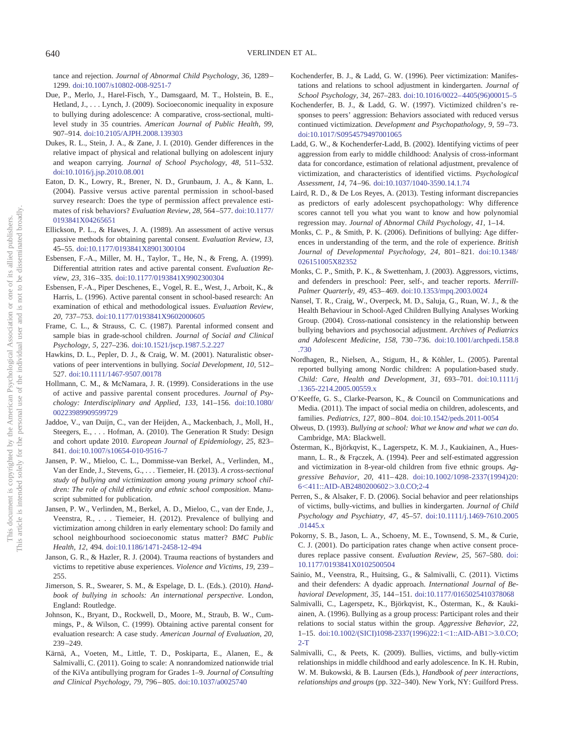tance and rejection. *Journal of Abnormal Child Psychology, 36,* 1289– 1299. [doi:10.1007/s10802-008-9251-7](http://dx.doi.org/10.1007/s10802-008-9251-7)

- <span id="page-12-20"></span>Due, P., Merlo, J., Harel-Fisch, Y., Damsgaard, M. T., Holstein, B. E., Hetland, J.,... Lynch, J. (2009). Socioeconomic inequality in exposure to bullying during adolescence: A comparative, cross-sectional, multilevel study in 35 countries. *American Journal of Public Health, 99,* 907–914. [doi:10.2105/AJPH.2008.139303](http://dx.doi.org/10.2105/AJPH.2008.139303)
- <span id="page-12-19"></span>Dukes, R. L., Stein, J. A., & Zane, J. I. (2010). Gender differences in the relative impact of physical and relational bullying on adolescent injury and weapon carrying. *Journal of School Psychology, 48,* 511–532. [doi:10.1016/j.jsp.2010.08.001](http://dx.doi.org/10.1016/j.jsp.2010.08.001)
- <span id="page-12-28"></span>Eaton, D. K., Lowry, R., Brener, N. D., Grunbaum, J. A., & Kann, L. (2004). Passive versus active parental permission in school-based survey research: Does the type of permission affect prevalence estimates of risk behaviors? *Evaluation Review, 28,* 564–577. [doi:10.1177/](http://dx.doi.org/10.1177/0193841X04265651) [0193841X04265651](http://dx.doi.org/10.1177/0193841X04265651)
- <span id="page-12-23"></span>Ellickson, P. L., & Hawes, J. A. (1989). An assessment of active versus passive methods for obtaining parental consent. *Evaluation Review, 13,* 45–55. [doi:10.1177/0193841X8901300104](http://dx.doi.org/10.1177/0193841X8901300104)
- <span id="page-12-24"></span>Esbensen, F.-A., Miller, M. H., Taylor, T., He, N., & Freng, A. (1999). Differential attrition rates and active parental consent. *Evaluation Review, 23,* 316–335. [doi:10.1177/0193841X9902300304](http://dx.doi.org/10.1177/0193841X9902300304)
- <span id="page-12-25"></span>Esbensen, F.-A., Piper Deschenes, E., Vogel, R. E., West, J., Arboit, K., & Harris, L. (1996). Active parental consent in school-based research: An examination of ethical and methodological issues. *Evaluation Review, 20,* 737–753. [doi:10.1177/0193841X9602000605](http://dx.doi.org/10.1177/0193841X9602000605)
- <span id="page-12-29"></span>Frame, C. L., & Strauss, C. C. (1987). Parental informed consent and sample bias in grade-school children. *Journal of Social and Clinical Psychology, 5,* 227–236. [doi:10.1521/jscp.1987.5.2.227](http://dx.doi.org/10.1521/jscp.1987.5.2.227)
- <span id="page-12-3"></span>Hawkins, D. L., Pepler, D. J., & Craig, W. M. (2001). Naturalistic observations of peer interventions in bullying. *Social Development, 10,* 512– 527. [doi:10.1111/1467-9507.00178](http://dx.doi.org/10.1111/1467-9507.00178)
- <span id="page-12-30"></span>Hollmann, C. M., & McNamara, J. R. (1999). Considerations in the use of active and passive parental consent procedures. *Journal of Psychology: Interdisciplinary and Applied, 133,* 141–156. [doi:10.1080/](http://dx.doi.org/10.1080/00223989909599729) [00223989909599729](http://dx.doi.org/10.1080/00223989909599729)
- <span id="page-12-13"></span>Jaddoe, V., van Duijn, C., van der Heijden, A., Mackenbach, J., Moll, H., Steegers, E.,... Hofman, A. (2010). The Generation R Study: Design and cohort update 2010. *European Journal of Epidemiology, 25,* 823– 841. [doi:10.1007/s10654-010-9516-7](http://dx.doi.org/10.1007/s10654-010-9516-7)
- <span id="page-12-12"></span>Jansen, P. W., Mieloo, C. L., Dommisse-van Berkel, A., Verlinden, M., Van der Ende, J., Stevens, G.,... Tiemeier, H. (2013). *A cross-sectional study of bullying and victimization among young primary school children: The role of child ethnicity and ethnic school composition*. Manuscript submitted for publication.
- <span id="page-12-10"></span>Jansen, P. W., Verlinden, M., Berkel, A. D., Mieloo, C., van der Ende, J., Veenstra, R.,... Tiemeier, H. (2012). Prevalence of bullying and victimization among children in early elementary school: Do family and school neighbourhood socioeconomic status matter? *BMC Public Health, 12,* 494. [doi:10.1186/1471-2458-12-494](http://dx.doi.org/10.1186/1471-2458-12-494)
- <span id="page-12-4"></span>Janson, G. R., & Hazler, R. J. (2004). Trauma reactions of bystanders and victims to repetitive abuse experiences. *Violence and Victims, 19,* 239– 255.
- <span id="page-12-9"></span>Jimerson, S. R., Swearer, S. M., & Espelage, D. L. (Eds.). (2010). *Handbook of bullying in schools: An international perspective*. London, England: Routledge.
- <span id="page-12-27"></span>Johnson, K., Bryant, D., Rockwell, D., Moore, M., Straub, B. W., Cummings, P., & Wilson, C. (1999). Obtaining active parental consent for evaluation research: A case study. *American Journal of Evaluation, 20,* 239–249.
- <span id="page-12-11"></span>Kärnä, A., Voeten, M., Little, T. D., Poskiparta, E., Alanen, E., & Salmivalli, C. (2011). Going to scale: A nonrandomized nationwide trial of the KiVa antibullying program for Grades 1–9. *Journal of Consulting and Clinical Psychology, 79,* 796–805. [doi:10.1037/a0025740](http://dx.doi.org/10.1037/a0025740)
- <span id="page-12-0"></span>Kochenderfer, B. J., & Ladd, G. W. (1996). Peer victimization: Manifestations and relations to school adjustment in kindergarten. *Journal of School Psychology, 34,* 267–283. [doi:10.1016/0022–4405\(96\)00015–5](http://dx.doi.org/10.1016/0022-4405%2896%2900015-5)
- <span id="page-12-17"></span>Kochenderfer, B. J., & Ladd, G. W. (1997). Victimized children's responses to peers' aggression: Behaviors associated with reduced versus continued victimization. *Development and Psychopathology, 9,* 59–73. [doi:10.1017/S0954579497001065](http://dx.doi.org/10.1017/S0954579497001065)
- <span id="page-12-7"></span>Ladd, G. W., & Kochenderfer-Ladd, B. (2002). Identifying victims of peer aggression from early to middle childhood: Analysis of cross-informant data for concordance, estimation of relational adjustment, prevalence of victimization, and characteristics of identified victims. *Psychological Assessment, 14,* 74–96. [doi:10.1037/1040-3590.14.1.74](http://dx.doi.org/10.1037/1040-3590.14.1.74)
- <span id="page-12-18"></span>Laird, R. D., & De Los Reyes, A. (2013). Testing informant discrepancies as predictors of early adolescent psychopathology: Why difference scores cannot tell you what you want to know and how polynomial regression may. *Journal of Abnormal Child Psychology, 41,* 1–14.
- <span id="page-12-22"></span>Monks, C. P., & Smith, P. K. (2006). Definitions of bullying: Age differences in understanding of the term, and the role of experience. *British Journal of Developmental Psychology, 24,* 801–821. [doi:10.1348/](http://dx.doi.org/10.1348/026151005X82352) [026151005X82352](http://dx.doi.org/10.1348/026151005X82352)
- <span id="page-12-6"></span>Monks, C. P., Smith, P. K., & Swettenham, J. (2003). Aggressors, victims, and defenders in preschool: Peer, self-, and teacher reports. *Merrill-Palmer Quarterly, 49,* 453–469. [doi:10.1353/mpq.2003.0024](http://dx.doi.org/10.1353/mpq.2003.0024)
- <span id="page-12-15"></span>Nansel, T. R., Craig, W., Overpeck, M. D., Saluja, G., Ruan, W. J., & the Health Behaviour in School-Aged Children Bullying Analyses Working Group. (2004). Cross-national consistency in the relationship between bullying behaviors and psychosocial adjustment. *Archives of Pediatrics and Adolescent Medicine, 158,* 730–736. [doi:10.1001/archpedi.158.8](http://dx.doi.org/10.1001/archpedi.158.8.730) [.730](http://dx.doi.org/10.1001/archpedi.158.8.730)
- <span id="page-12-21"></span>Nordhagen, R., Nielsen, A., Stigum, H., & Köhler, L. (2005). Parental reported bullying among Nordic children: A population-based study. *Child: Care, Health and Development, 31,* 693–701. [doi:10.1111/j](http://dx.doi.org/10.1111/j.1365-2214.2005.00559.x) [.1365-2214.2005.00559.x](http://dx.doi.org/10.1111/j.1365-2214.2005.00559.x)
- <span id="page-12-31"></span>O'Keeffe, G. S., Clarke-Pearson, K., & Council on Communications and Media. (2011). The impact of social media on children, adolescents, and families. *Pediatrics, 127,* 800–804. [doi:10.1542/peds.2011-0054](http://dx.doi.org/10.1542/peds.2011-0054)
- <span id="page-12-14"></span>Olweus, D. (1993). *Bullying at school: What we know and what we can do*. Cambridge, MA: Blackwell.
- <span id="page-12-8"></span>Österman, K., Björkqvist, K., Lagerspetz, K. M. J., Kaukiainen, A., Huesmann, L. R., & Fraczek, A. (1994). Peer and self-estimated aggression and victimization in 8-year-old children from five ethnic groups. *Aggressive Behavior, 20,* 411–428. [doi:10.1002/1098-2337\(1994\)20:](http://dx.doi.org/10.1002/1098-2337%281994%2920:6%3C411::AID-AB2480200602%3E3.0.CO;2-4) 6<[411::AID-AB2480200602](http://dx.doi.org/10.1002/1098-2337%281994%2920:6%3C411::AID-AB2480200602%3E3.0.CO;2-4)>3.0.CO;2-4
- <span id="page-12-1"></span>Perren, S., & Alsaker, F. D. (2006). Social behavior and peer relationships of victims, bully-victims, and bullies in kindergarten. *Journal of Child Psychology and Psychiatry, 47,* 45–57. [doi:10.1111/j.1469-7610.2005](http://dx.doi.org/10.1111/j.1469-7610.2005.01445.x) [.01445.x](http://dx.doi.org/10.1111/j.1469-7610.2005.01445.x)
- <span id="page-12-26"></span>Pokorny, S. B., Jason, L. A., Schoeny, M. E., Townsend, S. M., & Curie, C. J. (2001). Do participation rates change when active consent procedures replace passive consent. *Evaluation Review, 25,* 567–580. [doi:](http://dx.doi.org/10.1177/0193841X0102500504) [10.1177/0193841X0102500504](http://dx.doi.org/10.1177/0193841X0102500504)
- <span id="page-12-16"></span>Sainio, M., Veenstra, R., Huitsing, G., & Salmivalli, C. (2011). Victims and their defenders: A dyadic approach. *International Journal of Behavioral Development, 35,* 144–151. [doi:10.1177/0165025410378068](http://dx.doi.org/10.1177/0165025410378068)
- <span id="page-12-5"></span>Salmivalli, C., Lagerspetz, K., Björkqvist, K., Österman, K., & Kaukiainen, A. (1996). Bullying as a group process: Participant roles and their relations to social status within the group. *Aggressive Behavior, 22,* 1-15. [doi:10.1002/\(SICI\)1098-2337\(1996\)22:1](http://dx.doi.org/10.1002/%28SICI%291098-2337%281996%2922:1%3C1::AID-AB1%3E3.0.CO;2-T)<1::AID-AB1>3.0.CO;  $2-T$
- <span id="page-12-2"></span>Salmivalli, C., & Peets, K. (2009). Bullies, victims, and bully-victim relationships in middle childhood and early adolescence. In K. H. Rubin, W. M. Bukowski, & B. Laursen (Eds.), *Handbook of peer interactions, relationships and groups* (pp. 322–340). New York, NY: Guilford Press.